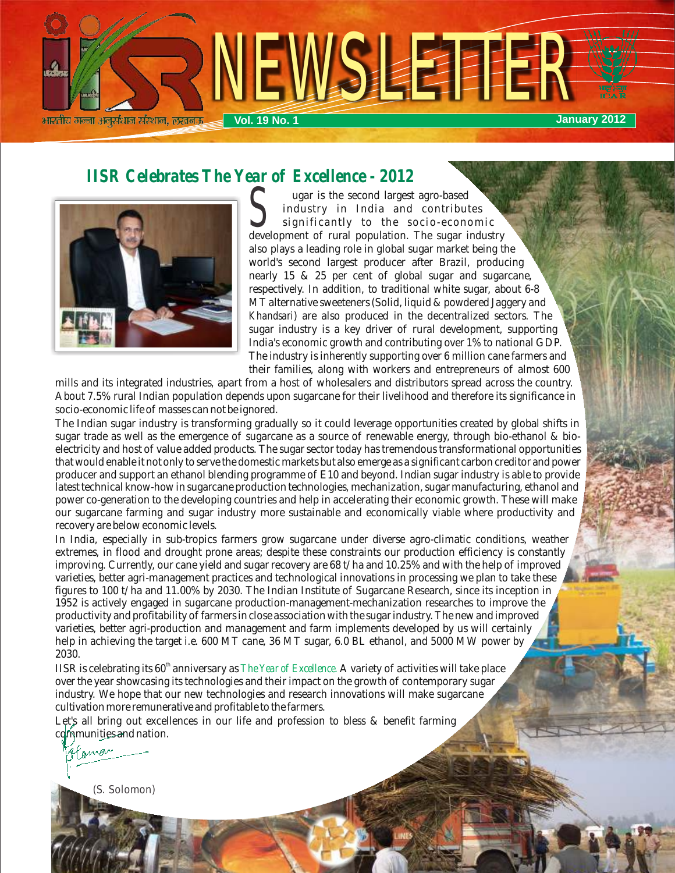

# *IISR Celebrates The Year of Excellence - 2012*



Sugar is the second largest agro-based<br>
significantly to the socio-economic<br>
development of rural population. The sugar industry ugar is the second largest agro-based industry in India and contributes significantly to the socio-economic also plays a leading role in global sugar market being the world's second largest producer after Brazil, producing nearly 15 & 25 per cent of global sugar and sugarcane, respectively. In addition, to traditional white sugar, about 6-8 MT alternative sweeteners (Solid, liquid & powdered Jaggery and *Khandsari*) are also produced in the decentralized sectors. The sugar industry is a key driver of rural development, supporting India's economic growth and contributing over 1% to national GDP. The industry is inherently supporting over 6 million cane farmers and their families, along with workers and entrepreneurs of almost 600

mills and its integrated industries, apart from a host of wholesalers and distributors spread across the country. About 7.5% rural Indian population depends upon sugarcane for their livelihood and therefore its significance in socio-economic life of masses can not be ignored.

The Indian sugar industry is transforming gradually so it could leverage opportunities created by global shifts in sugar trade as well as the emergence of sugarcane as a source of renewable energy, through bio-ethanol & bioelectricity and host of value added products. The sugar sector today has tremendous transformational opportunities that would enable it not only to serve the domestic markets but also emerge as a significant carbon creditor and power producer and support an ethanol blending programme of E10 and beyond. Indian sugar industry is able to provide latest technical know-how in sugarcane production technologies, mechanization, sugar manufacturing, ethanol and power co-generation to the developing countries and help in accelerating their economic growth. These will make our sugarcane farming and sugar industry more sustainable and economically viable where productivity and recovery are below economic levels.

In India, especially in sub-tropics farmers grow sugarcane under diverse agro-climatic conditions, weather extremes, in flood and drought prone areas; despite these constraints our production efficiency is constantly improving. Currently, our cane yield and sugar recovery are 68 t/ha and 10.25% and with the help of improved varieties, better agri-management practices and technological innovations in processing we plan to take these figures to 100 t/ha and 11.00% by 2030. The Indian Institute of Sugarcane Research, since its inception in 1952 is actively engaged in sugarcane production-management-mechanization researches to improve the productivity and profitability of farmers in close association with the sugar industry. The new and improved varieties, better agri-production and management and farm implements developed by us will certainly help in achieving the target i.e. 600 MT cane, 36 MT sugar, 6.0 BL ethanol, and 5000 MW power by 2030.

 $IISR$  is celebrating its  $60<sup>th</sup>$  anniversary as *The Year of Excellence.* A variety of activities will take place over the year showcasing its technologies and their impact on the growth of contemporary sugar industry. We hope that our new technologies and research innovations will make sugarcane cultivation more remunerative and profitable to the farmers.

Let's all bring out excellences in our life and profession to bless & benefit farming communities and nation.

Flamon (S. Solomon)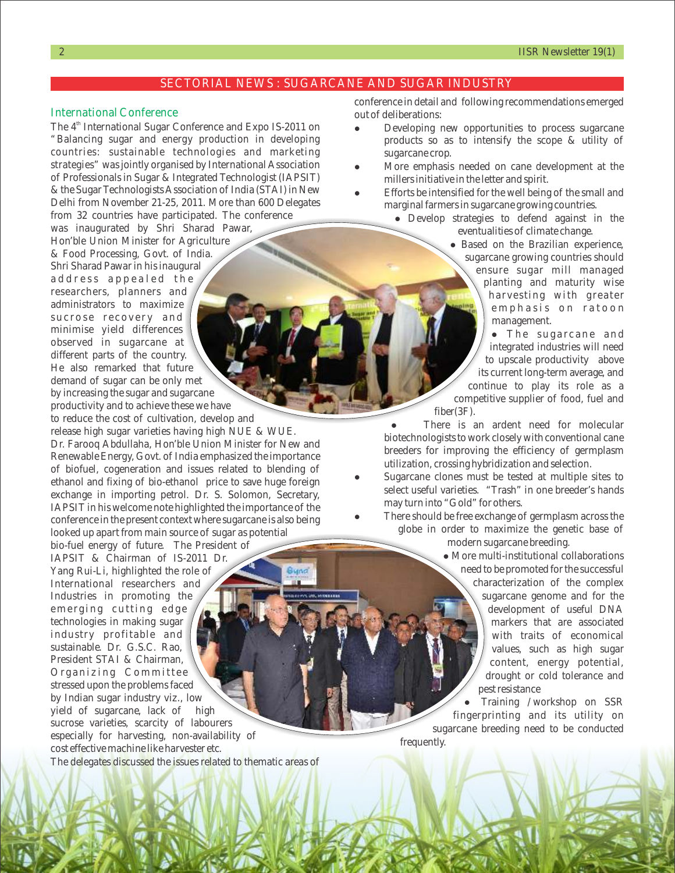#### SECTORIAL NEWS : SUGARCANE AND SUGAR INDUSTRY

#### International Conference

The 4<sup>th</sup> International Sugar Conference and Expo IS-2011 on "Balancing sugar and energy production in developing countries: sustainable technologies and marketing strategies" was jointly organised by International Association of Professionals in Sugar & Integrated Technologist (IAPSIT) & the Sugar Technologists Association of India (STAI) in New Delhi from November 21-25, 2011. More than 600 Delegates from 32 countries have participated. The conference

was inaugurated by Shri Sharad Pawar, Hon'ble Union Minister for Agriculture & Food Processing, Govt. of India. Shri Sharad Pawar in his inaugural address appealed the researchers, planners and administrators to maximize sucrose recovery and minimise yield differences observed in sugarcane at different parts of the country. He also remarked that future demand of sugar can be only met by increasing the sugar and sugarcane productivity and to achieve these we have

to reduce the cost of cultivation, develop and release high sugar varieties having high NUE & WUE. Dr. Farooq Abdullaha, Hon'ble Union Minister for New and Renewable Energy, Govt. of India emphasized the importance of biofuel, cogeneration and issues related to blending of ethanol and fixing of bio-ethanol price to save huge foreign exchange in importing petrol. Dr. S. Solomon, Secretary, IAPSIT in his welcome note highlighted the importance of the conference in the present context where sugarcane is also being looked up apart from main source of sugar as potential

bio-fuel energy of future. The President of IAPSIT & Chairman of IS-2011 Dr. Yang Rui-Li, highlighted the role of International researchers and Industries in promoting the emerging cutting edge technologies in making sugar industry profitable and sustainable. Dr. G.S.C. Rao, President STAI & Chairman, Organizing Committee stressed upon the problems faced by Indian sugar industry viz., low yield of sugarcane, lack of high sucrose varieties, scarcity of labourers especially for harvesting, non-availability of cost effective machine like harvester etc.

The delegates discussed the issues related to thematic areas of

conference in detail and following recommendations emerged out of deliberations:

- Developing new opportunities to process sugarcane products so as to intensify the scope & utility of sugarcane crop.
- l More emphasis needed on cane development at the millers initiative in the letter and spirit.
- Efforts be intensified for the well being of the small and marginal farmers in sugarcane growing countries.
	- l Develop strategies to defend against in the eventualities of climate change.

• Based on the Brazilian experience, sugarcane growing countries should ensure sugar mill managed planting and maturity wise harvesting with greater emphasis on ratoon management.

 $\bullet$  The sugarcane and integrated industries will need to upscale productivity above its current long-term average, and continue to play its role as a competitive supplier of food, fuel and fiber(3F).

There is an ardent need for molecular biotechnologists to work closely with conventional cane breeders for improving the efficiency of germplasm utilization, crossing hybridization and selection.

Sugarcane clones must be tested at multiple sites to select useful varieties. "Trash" in one breeder's hands may turn into "Gold" for others.

There should be free exchange of germplasm across the globe in order to maximize the genetic base of

modern sugarcane breeding.

 $\bullet$  More multi-institutional collaborations need to be promoted for the successful characterization of the complex sugarcane genome and for the development of useful DNA markers that are associated with traits of economical values, such as high sugar content, energy potential, drought or cold tolerance and pest resistance

l Training /workshop on SSR fingerprinting and its utility on sugarcane breeding need to be conducted frequently.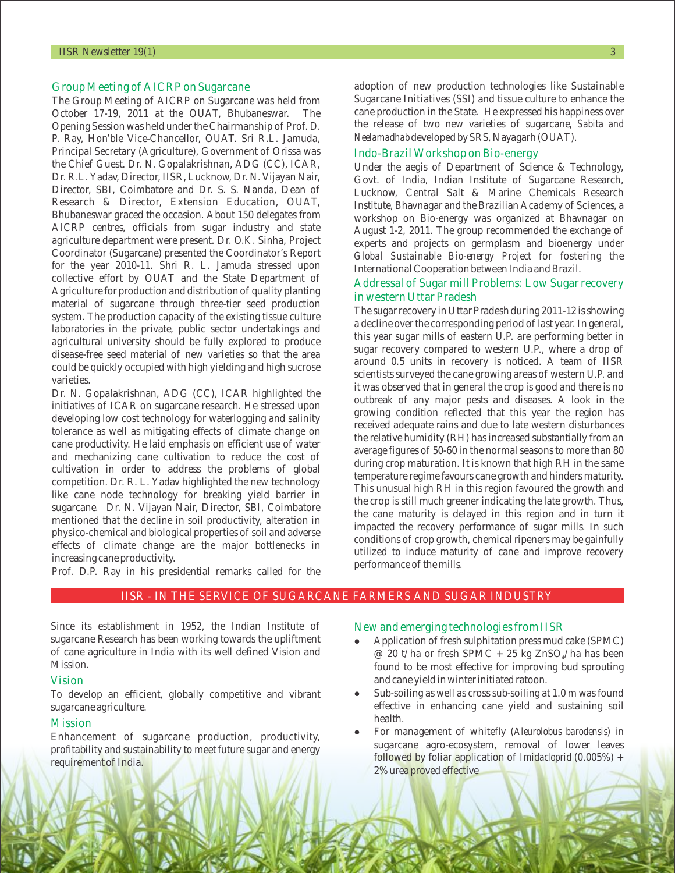#### Group Meeting of AICRP on Sugarcane

The Group Meeting of AICRP on Sugarcane was held from October 17-19, 2011 at the OUAT, Bhubaneswar. The Opening Session was held under the Chairmanship of Prof. D. P. Ray, Hon'ble Vice-Chancellor, OUAT. Sri R.L. Jamuda, Principal Secretary (Agriculture), Government of Orissa was the Chief Guest. Dr. N. Gopalakrishnan, ADG (CC), ICAR, Dr. R.L. Yadav, Director, IISR, Lucknow, Dr. N. Vijayan Nair, Director, SBI, Coimbatore and Dr. S. S. Nanda, Dean of Research & Director, Extension Education, OUAT, Bhubaneswar graced the occasion. About 150 delegates from AICRP centres, officials from sugar industry and state agriculture department were present. Dr. O.K. Sinha, Project Coordinator (Sugarcane) presented the Coordinator's Report for the year 2010-11. Shri R. L. Jamuda stressed upon collective effort by OUAT and the State Department of Agriculture for production and distribution of quality planting material of sugarcane through three-tier seed production system. The production capacity of the existing tissue culture laboratories in the private, public sector undertakings and agricultural university should be fully explored to produce disease-free seed material of new varieties so that the area could be quickly occupied with high yielding and high sucrose varieties.

Dr. N. Gopalakrishnan, ADG (CC), ICAR highlighted the initiatives of ICAR on sugarcane research. He stressed upon developing low cost technology for waterlogging and salinity tolerance as well as mitigating effects of climate change on cane productivity. He laid emphasis on efficient use of water and mechanizing cane cultivation to reduce the cost of cultivation in order to address the problems of global competition. Dr. R. L. Yadav highlighted the new technology like cane node technology for breaking yield barrier in sugarcane. Dr. N. Vijayan Nair, Director, SBI, Coimbatore mentioned that the decline in soil productivity, alteration in physico-chemical and biological properties of soil and adverse effects of climate change are the major bottlenecks in increasing cane productivity.

adoption of new production technologies like Sustainable Sugarcane Initiatives (SSI) and tissue culture to enhance the cane production in the State. He expressed his happiness over the release of two new varieties of sugarcane, *Sabita and Neelamadhab* developed by SRS, Nayagarh (OUAT).

#### Indo-Brazil Workshop on Bio-energy

Under the aegis of Department of Science & Technology, Govt. of India, Indian Institute of Sugarcane Research, Lucknow, Central Salt & Marine Chemicals Research Institute, Bhavnagar and the Brazilian Academy of Sciences, a workshop on Bio-energy was organized at Bhavnagar on August 1-2, 2011. The group recommended the exchange of experts and projects on germplasm and bioenergy under *Global Sustainable Bio-energy Project* for fostering the International Cooperation between India and Brazil.

#### Addressal of Sugar mill Problems: Low Sugar recovery in western Uttar Pradesh

The sugar recovery in Uttar Pradesh during 2011-12 is showing a decline over the corresponding period of last year. In general, this year sugar mills of eastern U.P. are performing better in sugar recovery compared to western U.P., where a drop of around 0.5 units in recovery is noticed. A team of IISR scientists surveyed the cane growing areas of western U.P. and it was observed that in general the crop is good and there is no outbreak of any major pests and diseases. A look in the growing condition reflected that this year the region has received adequate rains and due to late western disturbances the relative humidity (RH) has increased substantially from an average figures of 50-60 in the normal seasons to more than 80 during crop maturation. It is known that high RH in the same temperature regime favours cane growth and hinders maturity. This unusual high RH in this region favoured the growth and the crop is still much greener indicating the late growth. Thus, the cane maturity is delayed in this region and in turn it impacted the recovery performance of sugar mills. In such conditions of crop growth, chemical ripeners may be gainfully utilized to induce maturity of cane and improve recovery performance of the mills.

Prof. D.P. Ray in his presidential remarks called for the

#### IISR - IN THE SERVICE OF SUGARCANE FARMERS AND SUGAR INDUSTRY

Since its establishment in 1952, the Indian Institute of sugarcane Research has been working towards the upliftment of cane agriculture in India with its well defined Vision and Mission.

#### Vision

To develop an efficient, globally competitive and vibrant sugarcane agriculture.

#### Mission

Enhancement of sugarcane production, productivity, profitability and sustainability to meet future sugar and energy requirement of India.

New and emerging technologies from IISR

- $\bullet$ @ 20 t/ha or fresh SPMC + 25 kg ZnSO<sub>4</sub>/ha has been found to be most effective for improving bud sprouting and cane yield in winter initiated ratoon. Application of fresh sulphitation press mud cake (SPMC)
- Sub-soiling as well as cross sub-soiling at 1.0 m was found effective in enhancing cane yield and sustaining soil health.
- l For management of whitefly (*Aleurolobus barodensis*) in sugarcane agro-ecosystem, removal of lower leaves followed by foliar application of *Imidacloprid* (0.005%) + 2% urea proved effective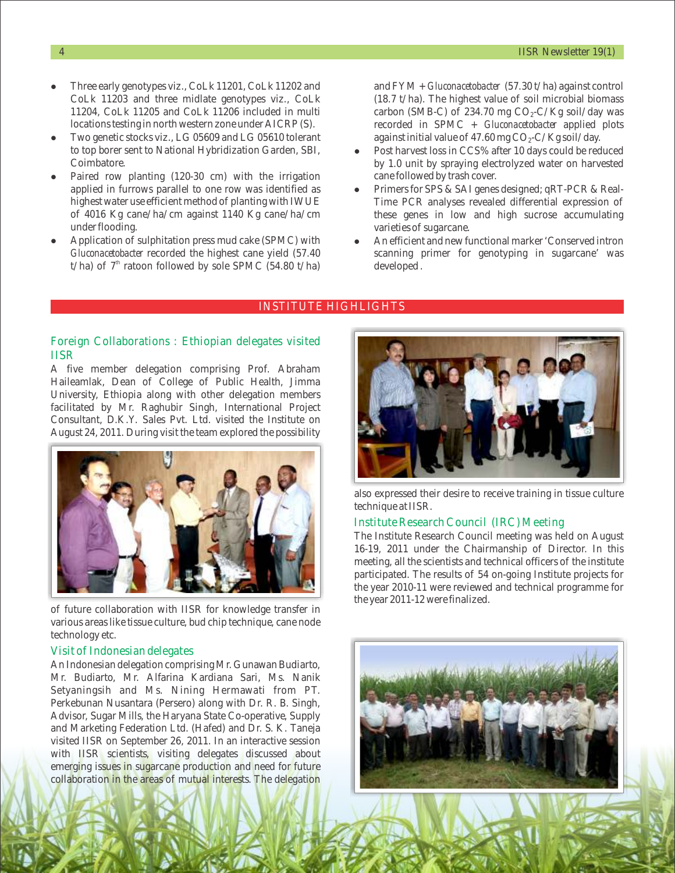- $\bullet$ CoLk 11203 and three midlate genotypes viz., CoLk 11204, CoLk 11205 and CoLk 11206 included in multi locations testing in north western zone under AICRP (S). Three early genotypes viz., Colk 11201, Colk 11202 and and FYM + *Gluconacetobacter* (57.30 t/ha) against control
- Two genetic stocks viz., LG 05609 and LG 05610 tolerant to top borer sent to National Hybridization Garden, SBI, Coimbatore.
- Paired row planting (120-30 cm) with the irrigation applied in furrows parallel to one row was identified as highest water use efficient method of planting with IWUE of 4016 Kg cane/ha/cm against 1140 Kg cane/ha/cm under flooding.
- l Application of sulphitation press mud cake (SPMC) with *Gluconacetobacter* recorded the highest cane yield (57.40 t/ha) of  $7<sup>th</sup>$  ratoon followed by sole SPMC (54.80 t/ha)

(18.7 t/ha). The highest value of soil microbial biomass carbon (SMB-C) of 234.70 mg  $CO_2$ -C/Kg soil/day was recorded in SPMC + *Gluconacetobacter* applied plots against initial value of  $47.60$  mg  $CO<sub>2</sub>-C/Kg$  soil/day.

- Post harvest loss in CCS% after 10 days could be reduced by 1.0 unit by spraying electrolyzed water on harvested cane followed by trash cover.
- l Primers for SPS & SAI genes designed; qRT-PCR & Real-Time PCR analyses revealed differential expression of these genes in low and high sucrose accumulating varieties of sugarcane.
- An efficient and new functional marker 'Conserved intron scanning primer for genotyping in sugarcane' was developed .

#### INSTITUTE HIGHLIGHTS

#### Foreign Collaborations : Ethiopian delegates visited IISR

A five member delegation comprising Prof. Abraham Haileamlak, Dean of College of Public Health, Jimma University, Ethiopia along with other delegation members facilitated by Mr. Raghubir Singh, International Project Consultant, D.K.Y. Sales Pvt. Ltd. visited the Institute on August 24, 2011. During visit the team explored the possibility



of future collaboration with IISR for knowledge transfer in various areas like tissue culture, bud chip technique, cane node technology etc.

#### Visit of Indonesian delegates

An Indonesian delegation comprising Mr. Gunawan Budiarto, Mr. Budiarto, Mr. Alfarina Kardiana Sari, Ms. Nanik Setyaningsih and Ms. Nining Hermawati from PT. Perkebunan Nusantara (Persero) along with Dr. R. B. Singh, Advisor, Sugar Mills, the Haryana State Co-operative, Supply and Marketing Federation Ltd. (Hafed) and Dr. S. K. Taneja visited IISR on September 26, 2011. In an interactive session with IISR scientists, visiting delegates discussed about emerging issues in sugarcane production and need for future collaboration in the areas of mutual interests. The delegation



also expressed their desire to receive training in tissue culture technique at IISR.

#### Institute Research Council (IRC) Meeting

The Institute Research Council meeting was held on August 16-19, 2011 under the Chairmanship of Director. In this meeting, all the scientists and technical officers of the institute participated. The results of 54 on-going Institute projects for the year 2010-11 were reviewed and technical programme for the year 2011-12 were finalized.

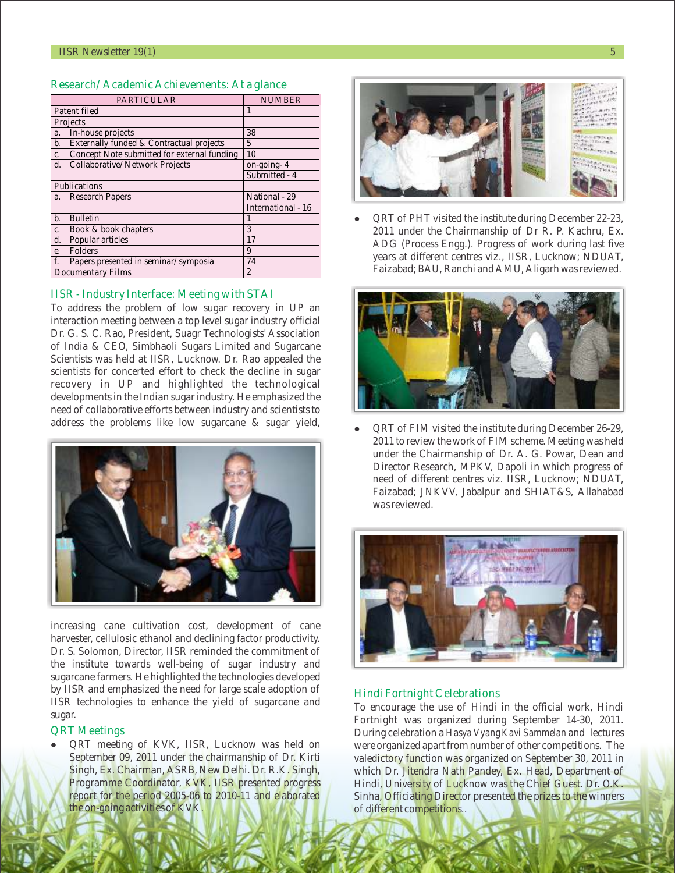| <b>PARTICULAR</b>                                 | <b>NUMBER</b>      |
|---------------------------------------------------|--------------------|
| Patent filed                                      | 1                  |
| Projects                                          |                    |
| In-house projects<br>a.                           | 38                 |
| Externally funded & Contractual projects<br>b.    | 5                  |
| Concept Note submitted for external funding<br>c. | 10                 |
| Collaborative/Network Projects<br>d.              | on-going-4         |
|                                                   | Submitted - 4      |
| Publications                                      |                    |
| a. Research Papers                                | National - 29      |
|                                                   | International - 16 |
| <b>Bulletin</b><br>b.                             | 1                  |
| Book & book chapters<br>c.                        | 3                  |
| Popular articles<br>d.                            | 17                 |
| Folders<br>e.                                     | 9                  |
| f.<br>Papers presented in seminar/symposia        | 74                 |
| <b>Documentary Films</b>                          | $\overline{2}$     |

#### Research/Academic Achievements: At a glance

#### IISR - Industry Interface: Meeting with STAI

To address the problem of low sugar recovery in UP an interaction meeting between a top level sugar industry official Dr. G. S. C. Rao, President, Suagr Technologists' Association of India & CEO, Simbhaoli Sugars Limited and Sugarcane Scientists was held at IISR, Lucknow. Dr. Rao appealed the scientists for concerted effort to check the decline in sugar recovery in UP and highlighted the technological developments in the Indian sugar industry. He emphasized the need of collaborative efforts between industry and scientists to address the problems like low sugarcane & sugar yield,



increasing cane cultivation cost, development of cane harvester, cellulosic ethanol and declining factor productivity. Dr. S. Solomon, Director, IISR reminded the commitment of the institute towards well-being of sugar industry and sugarcane farmers. He highlighted the technologies developed by IISR and emphasized the need for large scale adoption of IISR technologies to enhance the yield of sugarcane and sugar.

#### QRT Meetings

l QRT meeting of KVK, IISR, Lucknow was held on September 09, 2011 under the chairmanship of Dr. Kirti Singh, Ex. Chairman, ASRB, New Delhi. Dr. R.K. Singh, Programme Coordinator, KVK, IISR presented progress report for the period 2005-06 to 2010-11 and elaborated the on-going activities of KVK.



 $\bullet$ 2011 under the Chairmanship of Dr R. P. Kachru, Ex. ADG (Process Engg.). Progress of work during last five years at different centres viz., IISR, Lucknow; NDUAT, Faizabad; BAU, Ranchi and AMU, Aligarh was reviewed. QRT of PHT visited the institute during December 22-23,



l QRT of FIM visited the institute during December 26-29, 2011 to review the work of FIM scheme. Meeting was held under the Chairmanship of Dr. A. G. Powar, Dean and Director Research, MPKV, Dapoli in which progress of need of different centres viz. IISR, Lucknow; NDUAT, Faizabad; JNKVV, Jabalpur and SHIAT&S, Allahabad was reviewed.



#### Hindi Fortnight Celebrations

To encourage the use of Hindi in the official work, Hindi Fortnight was organized during September 14-30, 2011. During celebration a *Hasya Vyang Kavi Sammelan* and lectures were organized apart from number of other competitions. The valedictory function was organized on September 30, 2011 in which Dr. Jitendra Nath Pandey, Ex. Head, Department of Hindi, University of Lucknow was the Chief Guest. Dr. O.K. Sinha, Officiating Director presented the prizes to the winners of different competitions..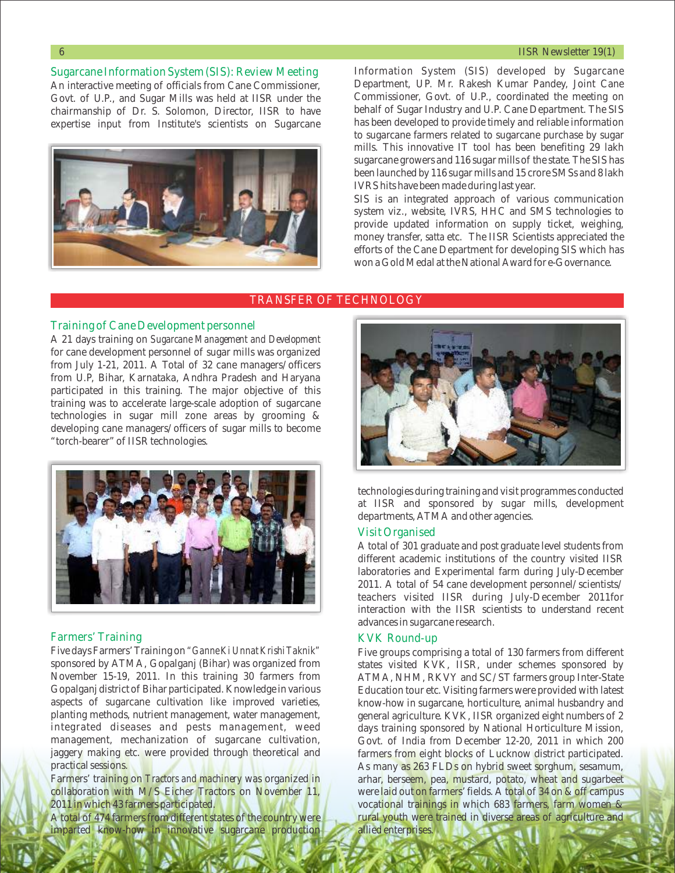#### 6 IISR Newsletter 19(1)

Sugarcane Information System (SIS): Review Meeting An interactive meeting of officials from Cane Commissioner, Govt. of U.P., and Sugar Mills was held at IISR under the chairmanship of Dr. S. Solomon, Director, IISR to have expertise input from Institute's scientists on Sugarcane



Information System (SIS) developed by Sugarcane Department, UP. Mr. Rakesh Kumar Pandey, Joint Cane Commissioner, Govt. of U.P., coordinated the meeting on behalf of Sugar Industry and U.P. Cane Department. The SIS has been developed to provide timely and reliable information to sugarcane farmers related to sugarcane purchase by sugar mills. This innovative IT tool has been benefiting 29 lakh sugarcane growers and 116 sugar mills of the state. The SIS has been launched by 116 sugar mills and 15 crore SMSs and 8 lakh IVRS hits have been made during last year.

SIS is an integrated approach of various communication system viz., website, IVRS, HHC and SMS technologies to provide updated information on supply ticket, weighing, money transfer, *satta* etc. The IISR Scientists appreciated the efforts of the Cane Department for developing SIS which has won a Gold Medal at the National Award for e-Governance.

#### TRANSFER OF TECHNOLOGY

#### Training of Cane Development personnel

A 21 days training on *Sugarcane Management and Development*  for cane development personnel of sugar mills was organized from July 1-21, 2011. A Total of 32 cane managers/officers from U.P, Bihar, Karnataka, Andhra Pradesh and Haryana participated in this training. The major objective of this training was to accelerate large-scale adoption of sugarcane technologies in sugar mill zone areas by grooming & developing cane managers/officers of sugar mills to become "torch-bearer" of IISR technologies.



#### Farmers' Training

Five days Farmers' Training on *"Ganne Ki Unnat Krishi Taknik"*  sponsored by ATMA, Gopalganj (Bihar) was organized from November 15-19, 2011. In this training 30 farmers from Gopalganj district of Bihar participated. Knowledge in various aspects of sugarcane cultivation like improved varieties, planting methods, nutrient management, water management, integrated diseases and pests management, weed management, mechanization of sugarcane cultivation, jaggery making etc. were provided through theoretical and practical sessions.

Farmers' training on *Tractors and machinery* was organized in collaboration with M/S Eicher Tractors on November 11, 2011 in which 43 farmers participated.

A total of 474 farmers from different states of the country were imparted know-how in innovative sugarcane production



technologies during training and visit programmes conducted at IISR and sponsored by sugar mills, development departments, ATMA and other agencies.

#### Visit Organised

A total of 301 graduate and post graduate level students from different academic institutions of the country visited IISR laboratories and Experimental farm during July-December 2011. A total of 54 cane development personnel/scientists/ teachers visited IISR during July-December 2011for interaction with the IISR scientists to understand recent advances in sugarcane research.

#### KVK Round-up

Five groups comprising a total of 130 farmers from different states visited KVK, IISR, under schemes sponsored by ATMA, NHM, RKVY and SC/ST farmers group Inter-State Education tour etc. Visiting farmers were provided with latest know-how in sugarcane, horticulture, animal husbandry and general agriculture. KVK, IISR organized eight numbers of 2 days training sponsored by National Horticulture Mission, Govt. of India from December 12-20, 2011 in which 200 farmers from eight blocks of Lucknow district participated. As many as 263 FLDs on hybrid sweet sorghum, sesamum, arhar, berseem, pea, mustard, potato, wheat and sugarbeet were laid out on farmers' fields. A total of 34 on & off campus vocational trainings in which 683 farmers, farm women & rural youth were trained in diverse areas of agriculture and allied enterprises.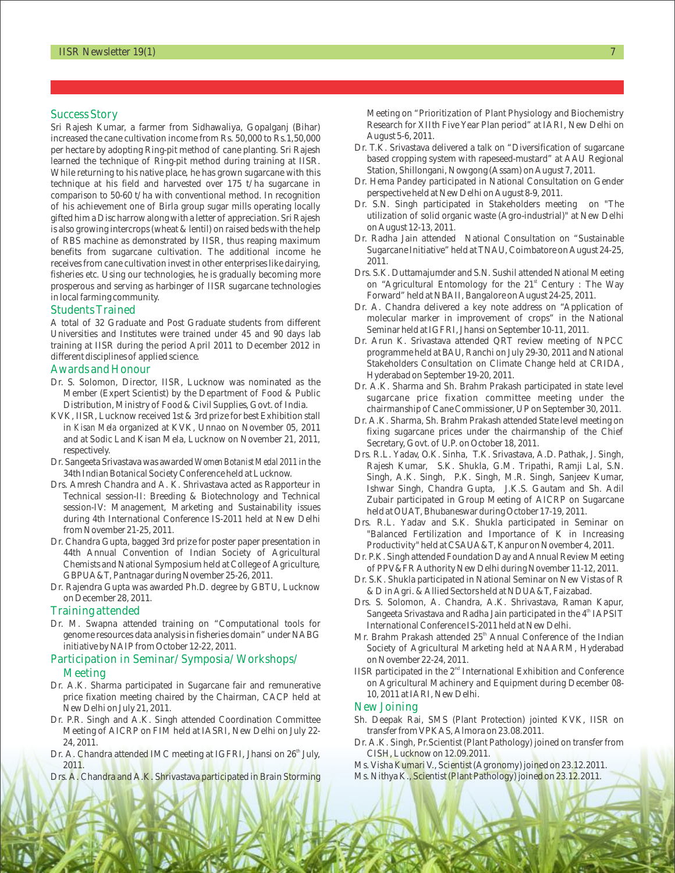Sri Rajesh Kumar, a farmer from Sidhawaliya, Gopalganj (Bihar) increased the cane cultivation income from Rs. 50,000 to Rs.1,50,000 per hectare by adopting Ring-pit method of cane planting. Sri Rajesh learned the technique of Ring-pit method during training at IISR. While returning to his native place, he has grown sugarcane with this technique at his field and harvested over 175 t/ha sugarcane in comparison to 50-60 t/ha with conventional method. In recognition of his achievement one of Birla group sugar mills operating locally gifted him a Disc harrow along with a letter of appreciation. Sri Rajesh is also growing intercrops (wheat & lentil) on raised beds with the help of RBS machine as demonstrated by IISR, thus reaping maximum benefits from sugarcane cultivation. The additional income he receives from cane cultivation invest in other enterprises like dairying, fisheries etc. Using our technologies, he is gradually becoming more prosperous and serving as harbinger of IISR sugarcane technologies in local farming community.

#### Students Trained

A total of 32 Graduate and Post Graduate students from different Universities and Institutes were trained under 45 and 90 days lab training at IISR during the period April 2011 to December 2012 in different disciplines of applied science.

#### Awards and Honour

- Dr. S. Solomon, Director, IISR, Lucknow was nominated as the Member (Expert Scientist) by the Department of Food & Public Distribution, Ministry of Food & Civil Supplies, Govt. of India.
- KVK, IISR, Lucknow received 1st & 3rd prize for best Exhibition stall in *Kisan Mela* organized at KVK, Unnao on November 05, 2011 and at Sodic Land Kisan Mela, Lucknow on November 21, 2011, respectively.
- Dr. Sangeeta Srivastava was awarded *Women Botanist Medal 2011* in the 34th Indian Botanical Society Conference held at Lucknow.
- Drs. Amresh Chandra and A. K. Shrivastava acted as Rapporteur in Technical session-II: Breeding & Biotechnology and Technical session-IV: Management, Marketing and Sustainability issues during 4th International Conference IS-2011 held at New Delhi from November 21-25, 2011.
- Dr. Chandra Gupta, bagged 3rd prize for poster paper presentation in 44th Annual Convention of Indian Society of Agricultural Chemists and National Symposium held at College of Agriculture, GBPUA&T, Pantnagar during November 25-26, 2011.
- Dr. Rajendra Gupta was awarded Ph.D. degree by GBTU, Lucknow on December 28, 2011.

#### Training attended

Dr. M. Swapna attended training on "Computational tools for genome resources data analysis in fisheries domain" under NABG initiative by NAIP from October 12-22, 2011.

## Participation in Seminar/Symposia/Workshops/

#### Meeting

- Dr. A.K. Sharma participated in Sugarcane fair and remunerative price fixation meeting chaired by the Chairman, CACP held at New Delhi on July 21, 2011.
- Dr. P.R. Singh and A.K. Singh attended Coordination Committee Meeting of AICRP on FIM held at IASRI, New Delhi on July 22- 24, 2011.
- Dr. A. Chandra attended IMC meeting at IGFRI, Jhansi on 26<sup>th</sup> July, 2011.
- Drs. A. Chandra and A.K. Shrivastava participated in Brain Storming

Meeting on "Priority" and the Success Story (Success Story of the Success Story of the Success Story of the Success Story of the Success Story of the Success Story of the Success Story of the Success Story of the Success S Meeting on "Prioritization of Plant Physiology and Biochemistry Research for XIIth Five Year Plan period" at IARI, New Delhi on August 5-6, 2011.

- Dr. T.K. Srivastava delivered a talk on "Diversification of sugarcane based cropping system with rapeseed-mustard" at AAU Regional Station, Shillongani, Nowgong (Assam) on August 7, 2011.
- Dr. Hema Pandey participated in National Consultation on Gender perspective held at New Delhi on August 8-9, 2011.
- Dr. S.N. Singh participated in Stakeholders meeting on "The utilization of solid organic waste (Agro-industrial)" at New Delhi on August 12-13, 2011.
- Dr. Radha Jain attended National Consultation on "Sustainable Sugarcane Initiative" held at TNAU, Coimbatore on August 24-25, 2011.
- Drs. S.K. Duttamajumder and S.N. Sushil attended National Meeting on "Agricultural Entomology for the 21<sup>st</sup> Century : The Way Forward" held at NBAII, Bangalore on August 24-25, 2011.
- Dr. A. Chandra delivered a key note address on "Application of molecular marker in improvement of crops" in the National Seminar held at IGFRI, Jhansi on September 10-11, 2011.
- Dr. Arun K. Srivastava attended QRT review meeting of NPCC programme held at BAU, Ranchi on July 29-30, 2011 and National Stakeholders Consultation on Climate Change held at CRIDA, Hyderabad on September 19-20, 2011.
- Dr. A.K. Sharma and Sh. Brahm Prakash participated in state level sugarcane price fixation committee meeting under the chairmanship of Cane Commissioner, UP on September 30, 2011.
- Dr. A.K. Sharma, Sh. Brahm Prakash attended State level meeting on fixing sugarcane prices under the chairmanship of the Chief Secretary, Govt. of U.P. on October 18, 2011.
- Drs. R.L. Yadav, O.K. Sinha, T.K. Srivastava, A.D. Pathak, J. Singh, Rajesh Kumar, S.K. Shukla, G.M. Tripathi, Ramji Lal, S.N. Singh, A.K. Singh, P.K. Singh, M.R. Singh, Sanjeev Kumar, Ishwar Singh, Chandra Gupta, J.K.S. Gautam and Sh. Adil Zubair participated in Group Meeting of AICRP on Sugarcane held at OUAT, Bhubaneswar during October 17-19, 2011.
- Drs. R.L. Yadav and S.K. Shukla participated in Seminar on "Balanced Fertilization and Importance of K in Increasing Productivity" held at CSAUA&T, Kanpur on November 4, 2011.
- Dr. P.K. Singh attended Foundation Day and Annual Review Meeting of PPV&FR Authority New Delhi during November 11-12, 2011.
- Dr. S.K. Shukla participated in National Seminar on New Vistas of R & D in Agri. & Allied Sectors held at NDUA&T, Faizabad.
- Drs. S. Solomon, A. Chandra, A.K. Shrivastava, Raman Kapur, Sangeeta Srivastava and Radha Jain participated in the 4<sup>th</sup> IAPSIT International Conference IS-2011 held at New Delhi.
- Mr. Brahm Prakash attended 25<sup>th</sup> Annual Conference of the Indian Society of Agricultural Marketing held at NAARM, Hyderabad on November 22-24, 2011.
- IISR participated in the  $2<sup>nd</sup>$  International Exhibition and Conference on Agricultural Machinery and Equipment during December 08- 10, 2011 at IARI, New Delhi.

#### New Joining

- Sh. Deepak Rai, SMS (Plant Protection) jointed KVK, IISR on transfer from VPKAS, Almora on 23.08.2011.
- Dr. A.K. Singh, Pr.Scientist (Plant Pathology) joined on transfer from CISH, Lucknow on 12.09.2011.
- Ms. Visha Kumari V., Scientist (Agronomy) joined on 23.12.2011.
- Ms. Nithya K., Scientist (Plant Pathology) joined on 23.12.2011.